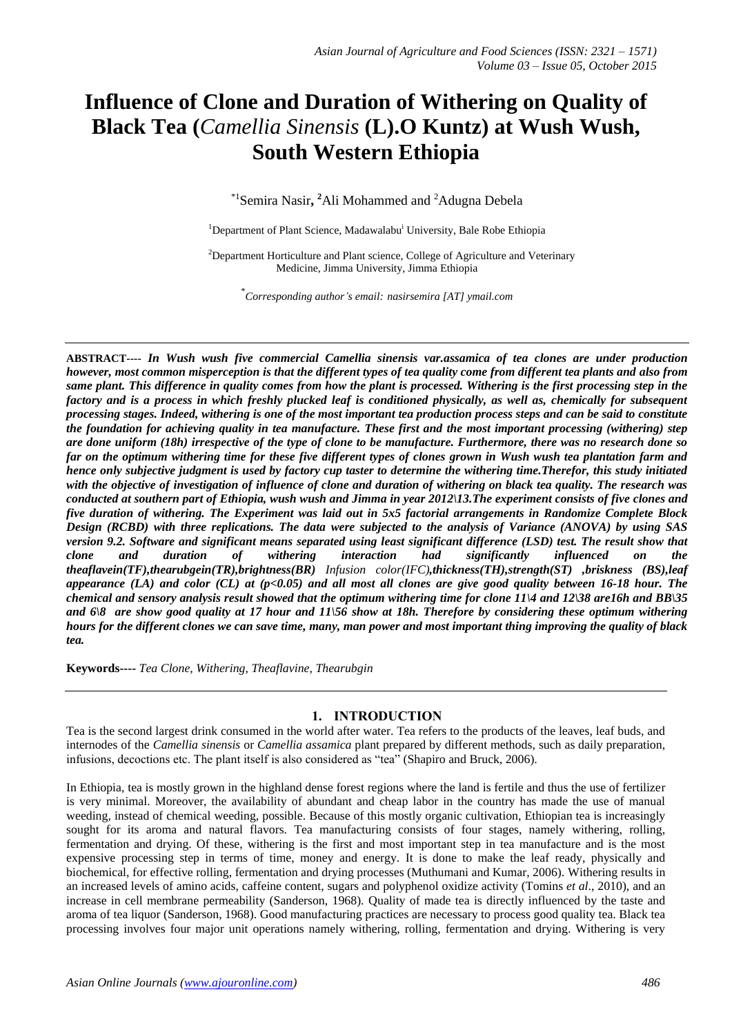# **Influence of Clone and Duration of Withering on Quality of Black Tea (***Camellia Sinensis* **(L).O Kuntz) at Wush Wush, South Western Ethiopia**

\*1 Semira Nasir**, <sup>2</sup>**Ali Mohammed and <sup>2</sup>Adugna Debela

<sup>1</sup>Department of Plant Science, Madawalabu<sup>i</sup> University, Bale Robe Ethiopia

<sup>2</sup>Department Horticulture and Plant science, College of Agriculture and Veterinary Medicine, Jimma University, Jimma Ethiopia

\* *Corresponding author's email: nasirsemira [AT] ymail.com*

**ABSTRACT----** *In Wush wush five commercial Camellia sinensis var.assamica of tea clones are under production however, most common misperception is that the different types of tea quality come from different tea plants and also from same plant. This difference in quality comes from how the plant is processed. Withering is the first processing step in the factory and is a process in which freshly plucked leaf is conditioned physically, as well as, chemically for subsequent processing stages. Indeed, withering is one of the most important [tea production process](http://tea.health-tips-diseases.com/2008/10/tea-production-process.html) steps and can be said to constitute the foundation for achieving [quality](http://tea.health-tips-diseases.com/2008/10/tea-quality-control.html) in tea manufacture. These first and the most important processing (withering) step are done uniform (18h) irrespective of the type of clone to be manufacture. Furthermore, there was no research done so far on the optimum withering time for these five different types of clones grown in Wush wush tea plantation farm and hence only subjective judgment is used by factory cup taster to determine the withering time.Therefor, this study initiated with the objective of investigation of influence of clone and duration of withering on black tea quality. The research was conducted at southern part of Ethiopia, wush wush and Jimma in year 2012\13.The experiment consists of five clones and five duration of withering. The Experiment was laid out in 5x5 factorial arrangements in Randomize Complete Block Design (RCBD) with three replications. The data were subjected to the analysis of Variance (ANOVA) by using SAS version 9.2. Software and significant means separated using least significant difference (LSD) test. The result show that clone and duration of withering interaction had significantly influenced on the theaflavein(TF),thearubgein(TR),brightness(BR) Infusion color(IFC),thickness(TH),strength(ST) ,briskness (BS),leaf appearance (LA) and color (CL) at (p<0.05) and all most all clones are give good quality between 16-18 hour. The chemical and sensory analysis result showed that the optimum withering time for clone 11\4 and 12\38 are16h and BB\35 and 6\8 are show good quality at 17 hour and 11\56 show at 18h. Therefore by considering these optimum withering hours for the different clones we can save time, many, man power and most important thing improving the quality of black tea.* 

**Keywords----** *Tea Clone, Withering, Theaflavine, Thearubgin*

## **1. INTRODUCTION**

Tea is the second largest drink consumed in the world after water. Tea refers to the products of the leaves, leaf buds, and internodes of the *Camellia sinensis* or *Camellia assamica* plant prepared by different methods, such as daily preparation, infusions, decoctions etc. The plant itself is also considered as "tea" (Shapiro and Bruck, 2006).

In Ethiopia, tea is mostly grown in the highland dense forest regions where the land is fertile and thus the use of fertilizer is very minimal. Moreover, the availability of abundant and cheap labor in the country has made the use of manual weeding, instead of chemical weeding, possible. Because of this mostly organic cultivation, Ethiopian tea is increasingly sought for its aroma and natural flavors. Tea manufacturing consists of four stages, namely withering, rolling, fermentation and drying. Of these, withering is the first and most important step in tea manufacture and is the most expensive processing step in terms of time, money and energy. It is done to make the leaf ready, physically and biochemical, for effective rolling, fermentation and drying processes (Muthumani and Kumar, 2006). Withering results in an increased levels of amino acids, caffeine content, sugars and polyphenol oxidize activity (Tomins *et al*., 2010), and an increase in cell membrane permeability (Sanderson, 1968). Quality of made tea is directly influenced by the taste and aroma of tea liquor (Sanderson, 1968). Good manufacturing practices are necessary to process good quality tea. Black tea processing involves four major unit operations namely withering, rolling, fermentation and drying. Withering is very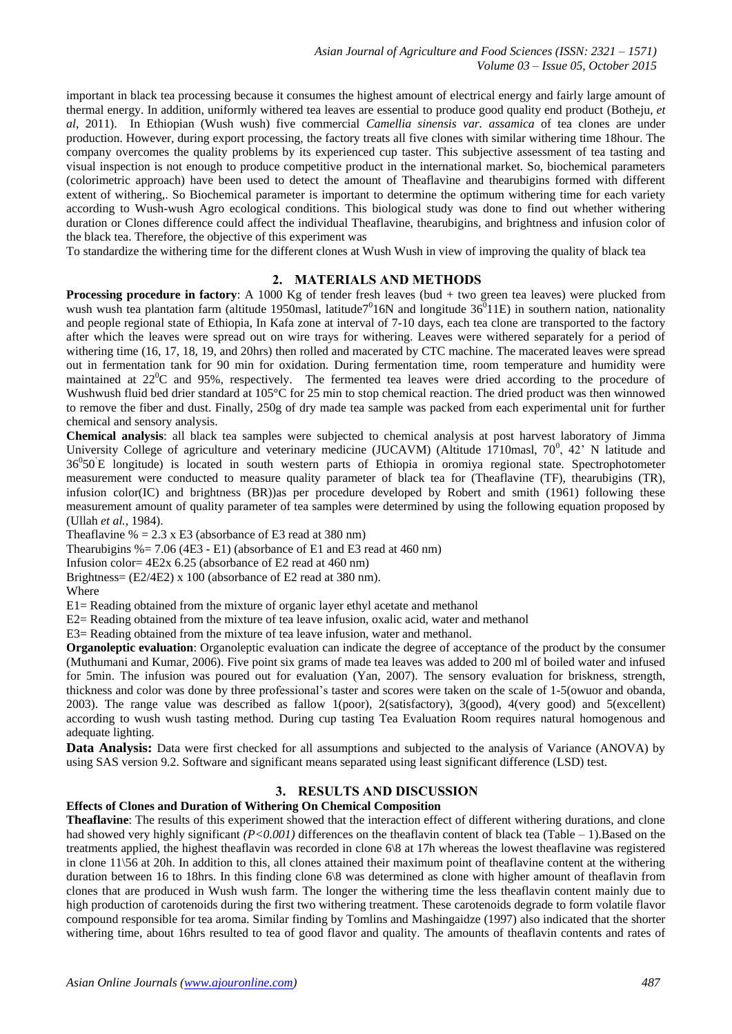important in black tea processing because it consumes the highest amount of electrical energy and fairly large amount of thermal energy. In addition, uniformly withered tea leaves are essential to produce good quality end product (Botheju, *et al*, 2011). In Ethiopian (Wush wush) five commercial *Camellia sinensis var. assamica* of tea clones are under production. However, during export processing, the factory treats all five clones with similar withering time 18hour. The company overcomes the quality problems by its experienced cup taster. This subjective assessment of tea tasting and visual inspection is not enough to produce competitive product in the international market. So, biochemical parameters (colorimetric approach) have been used to detect the amount of Theaflavine and thearubigins formed with different extent of withering,. So Biochemical parameter is important to determine the optimum withering time for each variety according to Wush-wush Agro ecological conditions. This biological study was done to find out whether withering duration or Clones difference could affect the individual Theaflavine, thearubigins, and brightness and infusion color of the black tea. Therefore, the objective of this experiment was

To standardize the withering time for the different clones at Wush Wush in view of improving the quality of black tea

### **2. MATERIALS AND METHODS**

**Processing procedure in factory**: A 1000 Kg of tender fresh leaves (bud + two green tea leaves) were plucked from wush wush tea plantation farm (altitude 1950masl, latitude<sup>70</sup>16N and longitude  $36^{0}$ 11E) in southern nation, nationality and people regional state of Ethiopia, In Kafa zone at interval of 7-10 days, each tea clone are transported to the factory after which the leaves were spread out on wire trays for withering. Leaves were withered separately for a period of withering time (16, 17, 18, 19, and 20hrs) then rolled and macerated by CTC machine. The macerated leaves were spread out in fermentation tank for 90 min for oxidation. During fermentation time, room temperature and humidity were maintained at 22<sup>o</sup>C and 95%, respectively. The fermented tea leaves were dried according to the procedure of Wushwush fluid bed drier standard at 105°C for 25 min to stop chemical reaction. The dried product was then winnowed to remove the fiber and dust. Finally, 250g of dry made tea sample was packed from each experimental unit for further chemical and sensory analysis.

**Chemical analysis**: all black tea samples were subjected to chemical analysis at post harvest laboratory of Jimma University College of agriculture and veterinary medicine (JUCAVM) (Altitude 1710masl,  $70^0$ ,  $42^{\circ}$  N latitude and 36<sup>0</sup>50 E longitude) is located in south western parts of Ethiopia in oromiya regional state. Spectrophotometer measurement were conducted to measure quality parameter of black tea for (Theaflavine (TF), thearubigins (TR), infusion color(IC) and brightness (BR))as per procedure developed by Robert and smith (1961) following these measurement amount of quality parameter of tea samples were determined by using the following equation proposed by (Ullah *et al.,* 1984).

Theaflavine  $\% = 2.3 \times E3$  (absorbance of E3 read at 380 nm)

Thearubigins  $\% = 7.06$  (4E3 - E1) (absorbance of E1 and E3 read at 460 nm)

Infusion color= 4E2x 6.25 (absorbance of E2 read at 460 nm)

Brightness= (E2/4E2) x 100 (absorbance of E2 read at 380 nm).

Where

E1= Reading obtained from the mixture of organic layer ethyl acetate and methanol

E2= Reading obtained from the mixture of tea leave infusion, oxalic acid, water and methanol

E3= Reading obtained from the mixture of tea leave infusion, water and methanol.

**Organoleptic evaluation**: Organoleptic evaluation can indicate the degree of acceptance of the product by the consumer (Muthumani and Kumar, 2006). Five point six grams of made tea leaves was added to 200 ml of boiled water and infused for 5min. The infusion was poured out for evaluation (Yan, 2007). The sensory evaluation for briskness, strength, thickness and color was done by three professional's taster and scores were taken on the scale of 1-5(owuor and obanda, 2003). The range value was described as fallow 1(poor), 2(satisfactory), 3(good), 4(very good) and 5(excellent) according to wush wush tasting method. During cup tasting Tea Evaluation Room requires natural homogenous and adequate lighting.

**Data Analysis:** Data were first checked for all assumptions and subjected to the analysis of Variance (ANOVA) by using SAS version 9.2. Software and significant means separated using least significant difference (LSD) test.

#### **3. RESULTS AND DISCUSSION**

#### **Effects of Clones and Duration of Withering On Chemical Composition**

**Theaflavine**: The results of this experiment showed that the interaction effect of different withering durations, and clone had showed very highly significant *(P<0.001)* differences on the theaflavin content of black tea (Table – 1). Based on the treatments applied, the highest theaflavin was recorded in clone 6\8 at 17h whereas the lowest theaflavine was registered in clone 11\56 at 20h. In addition to this, all clones attained their maximum point of theaflavine content at the withering duration between 16 to 18hrs. In this finding clone 6\8 was determined as clone with higher amount of theaflavin from clones that are produced in Wush wush farm. The longer the withering time the less theaflavin content mainly due to high production of carotenoids during the first two withering treatment. These carotenoids degrade to form volatile flavor compound responsible for tea aroma. Similar finding by Tomlins and Mashingaidze (1997) also indicated that the shorter withering time, about 16hrs resulted to tea of good flavor and quality. The amounts of theaflavin contents and rates of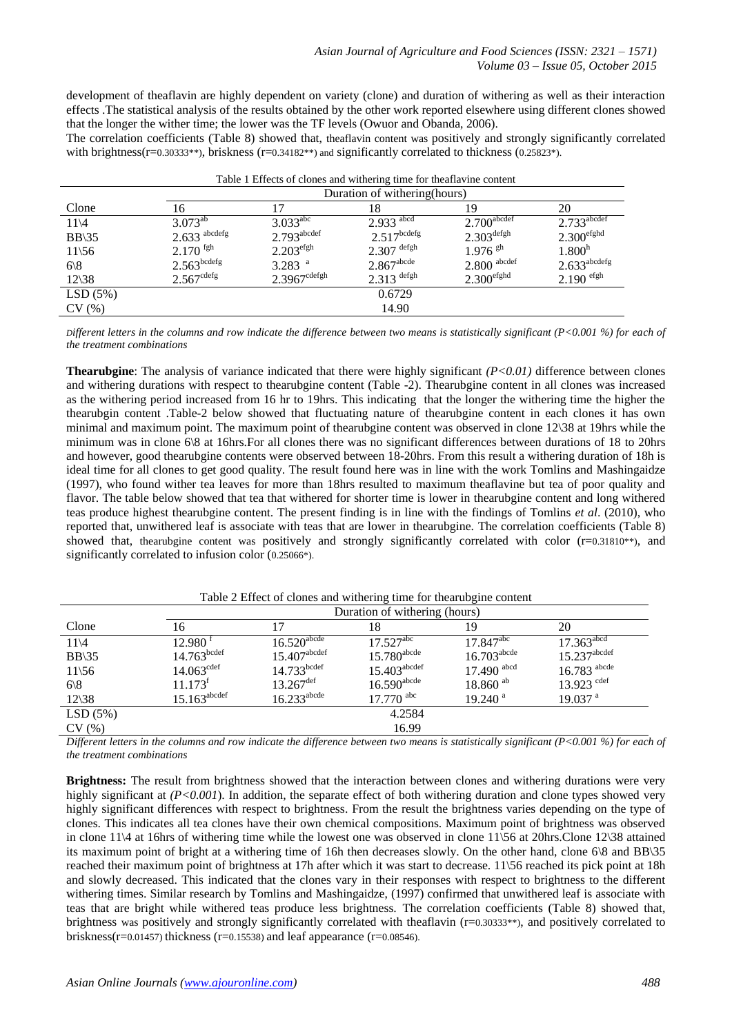development of theaflavin are highly dependent on variety (clone) and duration of withering as well as their interaction effects .The statistical analysis of the results obtained by the other work reported elsewhere using different clones showed that the longer the wither time; the lower was the TF levels (Owuor and Obanda, 2006).

The correlation coefficients (Table 8) showed that, theaflavin content was positively and strongly significantly correlated with brightness( $r=0.30333**$ ), briskness ( $r=0.34182**$ ) and significantly correlated to thickness (0.25823\*).

| Table 1 Effects of clones and withering time for theaflavine content |                            |                               |                          |                           |                            |  |  |  |  |
|----------------------------------------------------------------------|----------------------------|-------------------------------|--------------------------|---------------------------|----------------------------|--|--|--|--|
|                                                                      |                            | Duration of withering (hours) |                          |                           |                            |  |  |  |  |
| Clone                                                                | 16                         | 17                            | 18                       | 19                        | 20                         |  |  |  |  |
| $11\sqrt{4}$                                                         | $3.073^{ab}$               | $3.033^{\text{abc}}$          | $2.933$ <sup>abcd</sup>  | $2.700$ <sup>abcdef</sup> | $2.733$ <sup>abcdef</sup>  |  |  |  |  |
| $BB\$ 35                                                             | $2.633$ <sup>abcdefg</sup> | $2.793$ <sup>abcdef</sup>     | $2.517^{bcdefg}$         | $2.303$ defgh             | 2.300 <sup>efghd</sup>     |  |  |  |  |
| $11\overline{56}$                                                    | $2.170$ fgh                | 2.203 <sup>efgh</sup>         | $2.307$ defgh            | $1.976$ <sup>gh</sup>     | 1.800 <sup>h</sup>         |  |  |  |  |
| $6\langle 8$                                                         | $2.563$ <sup>bcdefg</sup>  | $3.283$ <sup>a</sup>          | $2.867$ <sup>abcde</sup> | $2.800$ abcdef            | $2.633$ <sup>abcdefg</sup> |  |  |  |  |
| $12\frac{38}{ }$                                                     | $2.567^{\text{cdefg}}$     | $2.3967$ <sup>cdefgh</sup>    | $2.313$ defgh            | 2.300 <sup>efghd</sup>    | $2.190$ efgh               |  |  |  |  |
| LSD(5%)                                                              |                            |                               | 0.6729                   |                           |                            |  |  |  |  |
| CV(%)                                                                |                            |                               | 14.90                    |                           |                            |  |  |  |  |

*Different letters in the columns and row indicate the difference between two means is statistically significant (P<0.001 %) for each of the treatment combinations*

**Thearubgine**: The analysis of variance indicated that there were highly significant *(P<0.01)* difference between clones and withering durations with respect to thearubgine content (Table -2). Thearubgine content in all clones was increased as the withering period increased from 16 hr to 19hrs. This indicating that the longer the withering time the higher the thearubgin content .Table-2 below showed that fluctuating nature of thearubgine content in each clones it has own minimal and maximum point. The maximum point of thearubgine content was observed in clone 12\38 at 19hrs while the minimum was in clone 6\8 at 16hrs.For all clones there was no significant differences between durations of 18 to 20hrs and however, good thearubgine contents were observed between 18-20hrs. From this result a withering duration of 18h is ideal time for all clones to get good quality. The result found here was in line with the work Tomlins and Mashingaidze (1997), who found wither tea leaves for more than 18hrs resulted to maximum theaflavine but tea of poor quality and flavor. The table below showed that tea that withered for shorter time is lower in thearubgine content and long withered teas produce highest thearubgine content. The present finding is in line with the findings of Tomlins *et al*. (2010), who reported that, unwithered leaf is associate with teas that are lower in thearubgine. The correlation coefficients (Table 8) showed that, thearubgine content was positively and strongly significantly correlated with color  $(r=0.31810**)$ , and significantly correlated to infusion color (0.25066\*).

|                   | Duration of withering (hours) |                            |                            |                           |                            |  |  |  |
|-------------------|-------------------------------|----------------------------|----------------------------|---------------------------|----------------------------|--|--|--|
| Clone             | 16                            |                            | 18                         | 19                        | 20                         |  |  |  |
| $11\overline{4}$  | $12.980^{\text{ t}}$          | $16.520$ <sup>abcde</sup>  | $17.527^{\text{abc}}$      | $17.847$ <sup>abc</sup>   | $17.363$ <sup>abcd</sup>   |  |  |  |
| $BB\$ 35          | $14.763$ <sup>bcdef</sup>     | $15.407$ <sup>abcdef</sup> | $15.780$ <sup>abcde</sup>  | $16.703$ <sup>abcde</sup> | $15.237$ <sup>abcdef</sup> |  |  |  |
| $11\overline{56}$ | 14.063 <sup>cdef</sup>        | $14.733$ bcdef             | $15.403$ <sup>abcdef</sup> | $17.490$ abcd             | $16.783$ <sup>abcde</sup>  |  |  |  |
| $6\langle 8$      | 11.173 <sup>f</sup>           | $13.267^{\text{def}}$      | $16.590$ <sup>abcde</sup>  | $18.860$ <sup>ab</sup>    | $13.923$ cdef              |  |  |  |
| $12\frac{38}{ }$  | $15.163$ <sup>abcdef</sup>    | $16.233$ <sup>abcde</sup>  | $17.770$ abc               | $19.240$ <sup>a</sup>     | $19.037$ <sup>a</sup>      |  |  |  |
| LSD(5%)           |                               |                            | 4.2584                     |                           |                            |  |  |  |
| CV(%)             |                               |                            | 16.99                      |                           |                            |  |  |  |

Table 2 Effect of clones and withering time for thearubgine content

*Different letters in the columns and row indicate the difference between two means is statistically significant (P<0.001 %) for each of the treatment combinations*

**Brightness:** The result from brightness showed that the interaction between clones and withering durations were very highly significant at *(P<0.001)*. In addition, the separate effect of both withering duration and clone types showed very highly significant differences with respect to brightness. From the result the brightness varies depending on the type of clones. This indicates all tea clones have their own chemical compositions. Maximum point of brightness was observed in clone 11\4 at 16hrs of withering time while the lowest one was observed in clone 11\56 at 20hrs.Clone 12\38 attained its maximum point of bright at a withering time of 16h then decreases slowly. On the other hand, clone 6\8 and BB\35 reached their maximum point of brightness at 17h after which it was start to decrease. 11\56 reached its pick point at 18h and slowly decreased. This indicated that the clones vary in their responses with respect to brightness to the different withering times. Similar research by Tomlins and Mashingaidze, (1997) confirmed that unwithered leaf is associate with teas that are bright while withered teas produce less brightness. The correlation coefficients (Table 8) showed that, brightness was positively and strongly significantly correlated with theaflavin (r=0.30333\*\*), and positively correlated to briskness( $r=0.01457$ ) thickness ( $r=0.15538$ ) and leaf appearance ( $r=0.08546$ ).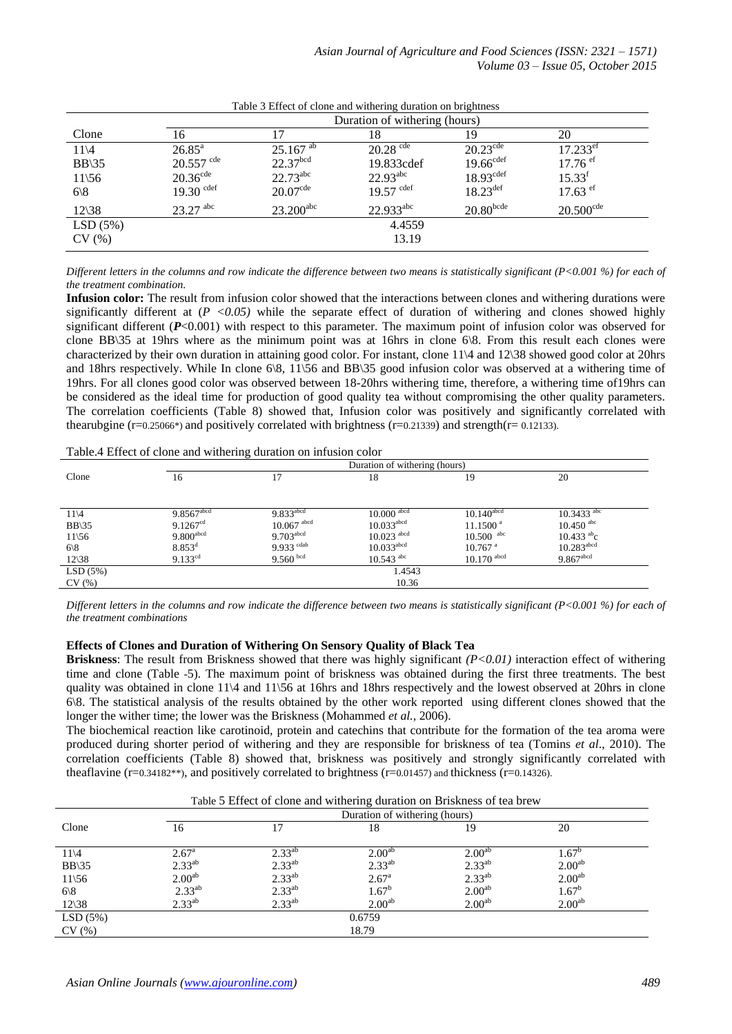|                  | Duration of withering (hours) |                        |                        |                         |                        |  |  |  |  |
|------------------|-------------------------------|------------------------|------------------------|-------------------------|------------------------|--|--|--|--|
| Clone            | 16                            |                        | 18                     | 19                      | 20                     |  |  |  |  |
| $11\sqrt{4}$     | $26.85^{\rm a}$               | $25.167$ <sup>ab</sup> | $20.28$ <sup>cde</sup> | $20.23^{\text{cde}}$    | $17.233$ <sup>et</sup> |  |  |  |  |
| $BB\$ 35         | $20.557$ cde                  | 22.37 <sup>bcd</sup>   | 19.833cdef             | 19.66 <sup>cdef</sup>   | $17.76$ ef             |  |  |  |  |
| $11\frac{56}{5}$ | $20.36$ <sup>cde</sup>        | $22.73^{\text{abc}}$   | $22.93^{\text{abc}}$   | 18.93 <sup>cdef</sup>   | $15.33^t$              |  |  |  |  |
| $6\langle 8$     | $19.30$ cdef                  | $20.07$ <sup>cde</sup> | $19.57$ cdef           | $18.23$ <sup>def</sup>  | $17.63$ ef             |  |  |  |  |
| $12\frac{38}{ }$ | $23.27$ <sup>abc</sup>        | $23.200^{\text{abc}}$  | $22.933^{\text{abc}}$  | $20.80$ <sub>bcde</sub> | $20.500^{\text{cde}}$  |  |  |  |  |
| LSD(5%)          |                               |                        | 4.4559                 |                         |                        |  |  |  |  |
| CV(%)            |                               |                        | 13.19                  |                         |                        |  |  |  |  |

Table 3 Effect of clone and withering duration on brightness

*Different letters in the columns and row indicate the difference between two means is statistically significant (P<0.001 %) for each of the treatment combination.*

**Infusion color:** The result from infusion color showed that the interactions between clones and withering durations were significantly different at (*P <0.05)* while the separate effect of duration of withering and clones showed highly significant different ( $P$ <0.001) with respect to this parameter. The maximum point of infusion color was observed for clone BB\35 at 19hrs where as the minimum point was at 16hrs in clone 6\8. From this result each clones were characterized by their own duration in attaining good color. For instant, clone 11\4 and 12\38 showed good color at 20hrs and 18hrs respectively. While In clone 6\8, 11\56 and BB\35 good infusion color was observed at a withering time of 19hrs. For all clones good color was observed between 18-20hrs withering time, therefore, a withering time of19hrs can be considered as the ideal time for production of good quality tea without compromising the other quality parameters. The correlation coefficients (Table 8) showed that, Infusion color was positively and significantly correlated with thearubgine ( $r=0.25066^*$ ) and positively correlated with brightness ( $r=0.21339$ ) and strength( $r=0.12133$ ).

Table.4 Effect of clone and withering duration on infusion color

|                           | $\circ$<br>Duration of withering (hours) |                          |                          |                          |                          |  |  |  |
|---------------------------|------------------------------------------|--------------------------|--------------------------|--------------------------|--------------------------|--|--|--|
| Clone                     | 16                                       |                          | 18                       | 19                       | 20                       |  |  |  |
|                           |                                          |                          |                          |                          |                          |  |  |  |
|                           |                                          |                          |                          |                          |                          |  |  |  |
| $11\overline{4}$          | $9.8567$ <sup>abcd</sup>                 | $9.833$ <sup>abcd</sup>  | $10.000$ <sup>abcd</sup> | $10.140$ <sup>abcd</sup> | $10.3433$ <sup>abc</sup> |  |  |  |
| $BB\$ 35                  | 9.1267 <sup>cd</sup>                     | $10.067$ <sup>abcd</sup> | $10.033$ <sup>abcd</sup> | 11.1500 <sup>a</sup>     | $10.450$ <sup>abc</sup>  |  |  |  |
| $11\overline{56}$         | $9.800$ <sup>abcd</sup>                  | $9.703$ <sup>abcd</sup>  | $10.023$ <sup>abcd</sup> | $10.500$ abc             | $10.433$ <sup>ab</sup> c |  |  |  |
| $6 \backslash 8$          | $8.853^{\rm d}$                          | 9.933 cdab               | $10.033$ <sup>abcd</sup> | $10.767$ <sup>a</sup>    | $10.283$ <sup>abcd</sup> |  |  |  |
| $12\overline{\smash{38}}$ | $9.133^{cd}$                             | $9.560$ bcd              | $10.543$ <sup>abc</sup>  | $10.170$ abcd            | $9.867$ <sup>abcd</sup>  |  |  |  |
| LSD(5%)                   |                                          |                          | 1.4543                   |                          |                          |  |  |  |
| CV(%)                     |                                          |                          | 10.36                    |                          |                          |  |  |  |

*Different letters in the columns and row indicate the difference between two means is statistically significant (P<0.001 %) for each of the treatment combinations*

#### **Effects of Clones and Duration of Withering On Sensory Quality of Black Tea**

**Briskness**: The result from Briskness showed that there was highly significant *(P<0.01)* interaction effect of withering time and clone (Table -5). The maximum point of briskness was obtained during the first three treatments. The best quality was obtained in clone 11\4 and 11\56 at 16hrs and 18hrs respectively and the lowest observed at 20hrs in clone 6\8. The statistical analysis of the results obtained by the other work reported using different clones showed that the longer the wither time; the lower was the Briskness (Mohammed *et al.,* 2006).

The biochemical reaction like carotinoid, protein and catechins that contribute for the formation of the tea aroma were produced during shorter period of withering and they are responsible for briskness of tea (Tomins *et al*., 2010). The correlation coefficients (Table 8) showed that, briskness was positively and strongly significantly correlated with theaflavine  $(r=0.34182**)$ , and positively correlated to brightness  $(r=0.01457)$  and thickness  $(r=0.14326)$ .

Table 5 Effect of clone and withering duration on Briskness of tea brew

|                           |                    | Duration of withering (hours) |                    |                    |                    |  |  |  |  |
|---------------------------|--------------------|-------------------------------|--------------------|--------------------|--------------------|--|--|--|--|
| Clone                     | 16                 | 17                            | 18                 | 19                 | 20                 |  |  |  |  |
|                           |                    |                               |                    |                    |                    |  |  |  |  |
| $11\sqrt{4}$              | $2.67^{\rm a}$     | $2.33^{ab}$                   | $2.00^{ab}$        | $2.00^{ab}$        | $1.67^{b}$         |  |  |  |  |
| $BB\$ 35                  | $2.33^{ab}$        | $2.33^{ab}$                   | $2.33^{ab}$        | $2.33^{ab}$        | 2.00 <sup>ab</sup> |  |  |  |  |
| $11\frac{56}{5}$          | 2.00 <sup>ab</sup> | $2.33^{ab}$                   | 2.67 <sup>a</sup>  | $2.33^{ab}$        | 2.00 <sup>ab</sup> |  |  |  |  |
| $6\langle 8$              | $2.33^{ab}$        | $2.33^{ab}$                   | $1.67^b$           | 2.00 <sup>ab</sup> | $1.67^b$           |  |  |  |  |
| $12\overline{\smash{38}}$ | $2.33^{ab}$        | $2.33^{ab}$                   | 2.00 <sup>ab</sup> | 2.00 <sup>ab</sup> | 2.00 <sup>ab</sup> |  |  |  |  |
| LSD(5%)                   |                    |                               | 0.6759             |                    |                    |  |  |  |  |
| CV(%)                     |                    |                               | 18.79              |                    |                    |  |  |  |  |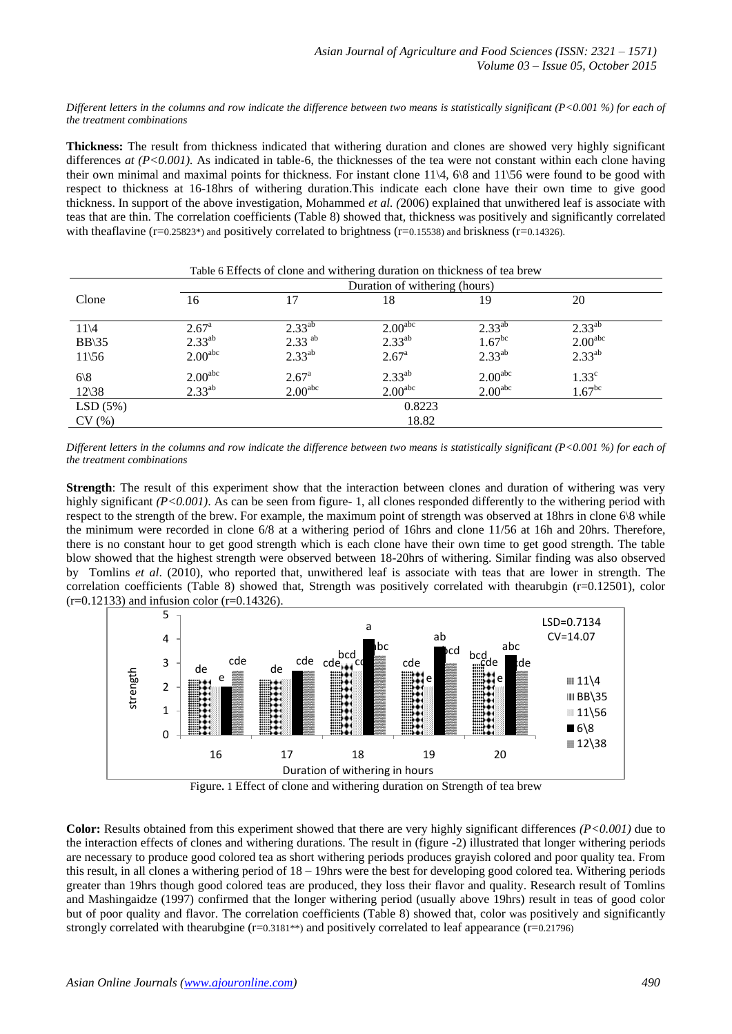*Different letters in the columns and row indicate the difference between two means is statistically significant (P<0.001 %) for each of the treatment combinations*

**Thickness:** The result from thickness indicated that withering duration and clones are showed very highly significant differences *at*  $(P<0.001)$ . As indicated in table-6, the thicknesses of the tea were not constant within each clone having their own minimal and maximal points for thickness. For instant clone  $11\overline{4}$ , 6\8 and  $11\overline{5}6$  were found to be good with respect to thickness at 16-18hrs of withering duration.This indicate each clone have their own time to give good thickness. In support of the above investigation, Mohammed *et al. (*2006) explained that unwithered leaf is associate with teas that are thin. The correlation coefficients (Table 8) showed that, thickness was positively and significantly correlated with theaflavine  $(r=0.25823*)$  and positively correlated to brightness  $(r=0.15538)$  and briskness  $(r=0.14326)$ .

| Table 6 Effects of clone and withering duration on thickness of tea brew |                               |                      |                     |                      |                     |  |  |  |
|--------------------------------------------------------------------------|-------------------------------|----------------------|---------------------|----------------------|---------------------|--|--|--|
|                                                                          | Duration of withering (hours) |                      |                     |                      |                     |  |  |  |
| Clone                                                                    | 16                            | 17                   | 18                  | 19                   | 20                  |  |  |  |
| $11\sqrt{4}$                                                             | $2.67^{\rm a}$                | $2.33^{ab}$          | 2.00 <sup>abc</sup> | $2.33^{ab}$          | $2.33^{ab}$         |  |  |  |
| $BB\$ 35                                                                 | $2.33^{ab}$                   | $2.33$ <sup>ab</sup> | $2.33^{ab}$         | $1.67$ <sup>bc</sup> | 2.00 <sup>abc</sup> |  |  |  |
| $11\overline{56}$                                                        | 2.00 <sup>abc</sup>           | $2.33^{ab}$          | $2.67^{\circ}$      | $2.33^{ab}$          | $2.33^{ab}$         |  |  |  |
| 6 8                                                                      | 2.00 <sup>abc</sup>           | $2.67^{\rm a}$       | $2.33^{ab}$         | 2.00 <sup>abc</sup>  | 1.33 <sup>c</sup>   |  |  |  |
| $12\overline{\smash)38}$                                                 | $2.33^{ab}$                   | 2.00 <sup>abc</sup>  | 2.00 <sup>abc</sup> | 2.00 <sup>abc</sup>  | 1.67 <sup>bc</sup>  |  |  |  |
| LSD(5%)                                                                  | 0.8223                        |                      |                     |                      |                     |  |  |  |
| CV(%)                                                                    | 18.82                         |                      |                     |                      |                     |  |  |  |

*Different letters in the columns and row indicate the difference between two means is statistically significant (P<0.001 %) for each of the treatment combinations*

**Strength**: The result of this experiment show that the interaction between clones and duration of withering was very highly significant *(P<0.001)*. As can be seen from figure- 1, all clones responded differently to the withering period with respect to the strength of the brew. For example, the maximum point of strength was observed at 18hrs in clone 6\8 while the minimum were recorded in clone 6/8 at a withering period of 16hrs and clone 11/56 at 16h and 20hrs. Therefore, there is no constant hour to get good strength which is each clone have their own time to get good strength. The table blow showed that the highest strength were observed between 18-20hrs of withering. Similar finding was also observed by Tomlins *et al*. (2010), who reported that, unwithered leaf is associate with teas that are lower in strength. The correlation coefficients (Table 8) showed that, Strength was positively correlated with thearubgin (r=0.12501), color  $(r=0.12133)$  and infusion color  $(r=0.14326)$ .



Figure**.** 1 Effect of clone and withering duration on Strength of tea brew

**Color:** Results obtained from this experiment showed that there are very highly significant differences *(P<0.001)* due to the interaction effects of clones and withering durations. The result in (figure -2) illustrated that longer withering periods are necessary to produce good colored tea as short withering periods produces grayish colored and poor quality tea. From this result, in all clones a withering period of 18 – 19hrs were the best for developing good colored tea. Withering periods greater than 19hrs though good colored teas are produced, they loss their flavor and quality. Research result of Tomlins and Mashingaidze (1997) confirmed that the longer withering period (usually above 19hrs) result in teas of good color but of poor quality and flavor. The correlation coefficients (Table 8) showed that, color was positively and significantly strongly correlated with thearubgine (r=0.3181<sup>\*\*</sup>) and positively correlated to leaf appearance (r=0.21796)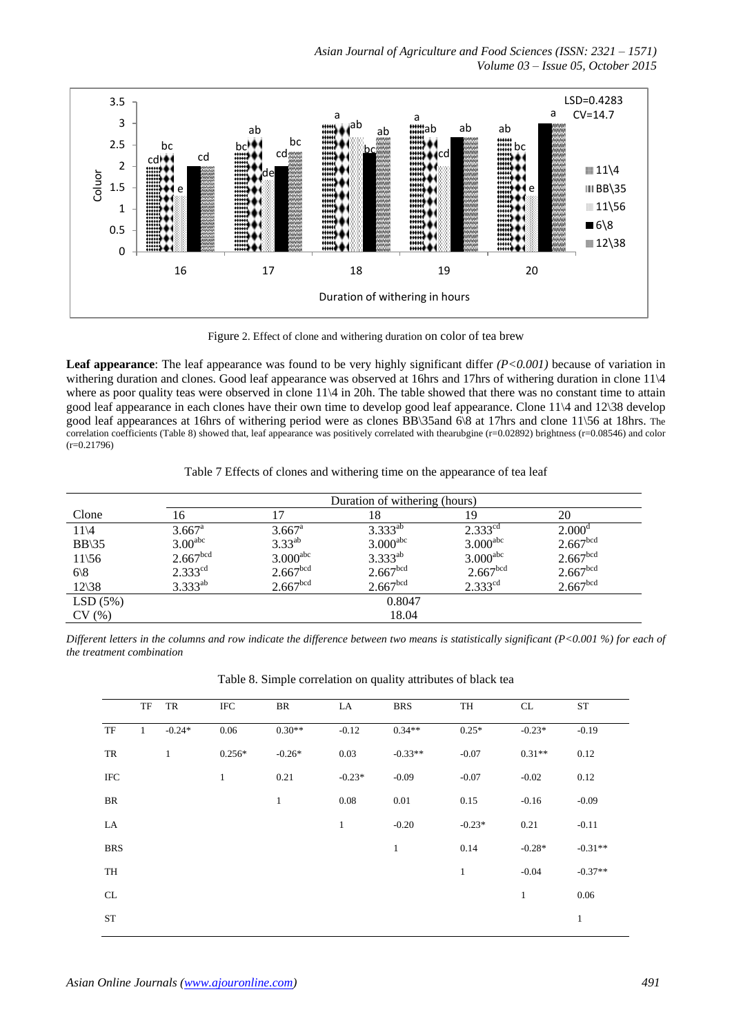*Asian Journal of Agriculture and Food Sciences (ISSN: 2321 – 1571) Volume 03 – Issue 05, October 2015*



Figure 2. Effect of clone and withering duration on color of tea brew

**Leaf appearance**: The leaf appearance was found to be very highly significant differ *(P<0.001)* because of variation in withering duration and clones. Good leaf appearance was observed at 16hrs and 17hrs of withering duration in clone 11 $\sqrt{4}$ where as poor quality teas were observed in clone 11\4 in 20h. The table showed that there was no constant time to attain good leaf appearance in each clones have their own time to develop good leaf appearance. Clone 11\4 and 12\38 develop good leaf appearances at 16hrs of withering period were as clones BB\35and 6\8 at 17hrs and clone 11\56 at 18hrs. The correlation coefficients (Table 8) showed that, leaf appearance was positively correlated with thearubgine (r=0.02892) brightness (r=0.08546) and color  $(r=0.21796)$ 

Table 7 Effects of clones and withering time on the appearance of tea leaf

|                  |                       | Duration of withering (hours) |                        |                        |                      |  |  |  |  |  |
|------------------|-----------------------|-------------------------------|------------------------|------------------------|----------------------|--|--|--|--|--|
| Clone            | 16                    |                               | 18                     | 19                     | 20                   |  |  |  |  |  |
| $11\backslash4$  | $3.667$ <sup>a</sup>  | $3.667^{\rm a}$               | $3.333^{ab}$           | $2.333^{cd}$           | 2.000 <sup>d</sup>   |  |  |  |  |  |
| $BB\$ 35         | 3.00 <sup>abc</sup>   | $3.33^{ab}$                   | $3.000$ <sup>abc</sup> | $3.000$ <sup>abc</sup> | 2.667 <sup>bcd</sup> |  |  |  |  |  |
| $11\frac{56}{5}$ | 2.667 <sup>bcd</sup>  | $3.000$ <sup>abc</sup>        | $3.333^{ab}$           | $3.000$ <sup>abc</sup> | 2.667 <sup>bcd</sup> |  |  |  |  |  |
| 6 8              | $2.333$ <sup>cd</sup> | 2.667 <sup>bcd</sup>          | 2.667 <sup>bcd</sup>   | 2.667 <sup>bcd</sup>   | 2.667 <sup>bcd</sup> |  |  |  |  |  |
| $12\frac{38}{ }$ | $3.333^{ab}$          | 2.667 <sup>bcd</sup>          | 2.667 <sup>bcd</sup>   | $2.333^{cd}$           | 2.667 <sup>bcd</sup> |  |  |  |  |  |
| LSD(5%)          | 0.8047                |                               |                        |                        |                      |  |  |  |  |  |
| CV(%)            | 18.04                 |                               |                        |                        |                      |  |  |  |  |  |

*Different letters in the columns and row indicate the difference between two means is statistically significant (P<0.001 %) for each of the treatment combination*

Table 8. Simple correlation on quality attributes of black tea

|            | TF           | TR           | IFC          | BR           | LA           | <b>BRS</b>   | TH           | CL           | <b>ST</b>    |
|------------|--------------|--------------|--------------|--------------|--------------|--------------|--------------|--------------|--------------|
| TF         | $\mathbf{1}$ | $-0.24*$     | 0.06         | $0.30**$     | $-0.12$      | $0.34**$     | $0.25*$      | $-0.23*$     | $-0.19$      |
| TR         |              | $\mathbf{1}$ | $0.256*$     | $-0.26*$     | 0.03         | $-0.33**$    | $-0.07$      | $0.31**$     | 0.12         |
| <b>IFC</b> |              |              | $\mathbf{1}$ | 0.21         | $-0.23*$     | $-0.09$      | $-0.07$      | $-0.02$      | 0.12         |
| BR         |              |              |              | $\mathbf{1}$ | 0.08         | 0.01         | 0.15         | $-0.16$      | $-0.09$      |
| LA         |              |              |              |              | $\mathbf{1}$ | $-0.20$      | $-0.23*$     | 0.21         | $-0.11$      |
| <b>BRS</b> |              |              |              |              |              | $\mathbf{1}$ | 0.14         | $-0.28*$     | $-0.31**$    |
| TH         |              |              |              |              |              |              | $\mathbf{1}$ | $-0.04$      | $-0.37**$    |
| CL         |              |              |              |              |              |              |              | $\mathbf{1}$ | 0.06         |
| <b>ST</b>  |              |              |              |              |              |              |              |              | $\mathbf{1}$ |
|            |              |              |              |              |              |              |              |              |              |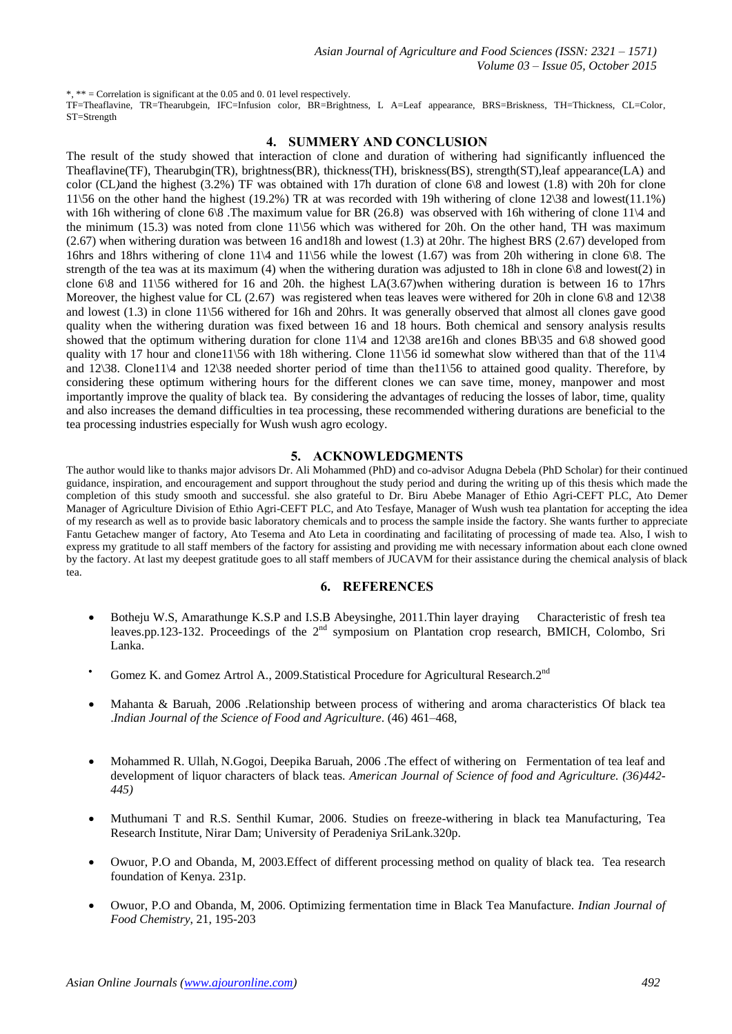\*, \*\* = Correlation is significant at the 0.05 and 0. 01 level respectively.

TF=Theaflavine, TR=Thearubgein, IFC=Infusion color, BR=Brightness, L A=Leaf appearance, BRS=Briskness, TH=Thickness, CL=Color, ST=Strength

#### **4. SUMMERY AND CONCLUSION**

The result of the study showed that interaction of clone and duration of withering had significantly influenced the Theaflavine(TF), Thearubgin(TR), brightness(BR), thickness(TH), briskness(BS), strength(ST),leaf appearance(LA) and color (CL*)*and the highest (3.2%) TF was obtained with 17h duration of clone 6\8 and lowest (1.8) with 20h for clone 11\56 on the other hand the highest (19.2%) TR at was recorded with 19h withering of clone 12\38 and lowest(11.1%) with 16h withering of clone 6\8. The maximum value for BR (26.8) was observed with 16h withering of clone 11\4 and the minimum (15.3) was noted from clone 11\56 which was withered for 20h. On the other hand, TH was maximum (2.67) when withering duration was between 16 and18h and lowest (1.3) at 20hr. The highest BRS (2.67) developed from 16hrs and 18hrs withering of clone 11\4 and 11\56 while the lowest (1.67) was from 20h withering in clone 6\8. The strength of the tea was at its maximum (4) when the withering duration was adjusted to 18h in clone 6\8 and lowest(2) in clone 6\8 and 11\56 withered for 16 and 20h. the highest LA(3.67)when withering duration is between 16 to 17hrs Moreover, the highest value for CL  $(2.67)$  was registered when teas leaves were withered for 20h in clone 6\8 and 12\38 and lowest (1.3) in clone 11\56 withered for 16h and 20hrs. It was generally observed that almost all clones gave good quality when the withering duration was fixed between 16 and 18 hours. Both chemical and sensory analysis results showed that the optimum withering duration for clone 11\4 and 12\38 are16h and clones BB\35 and 6\8 showed good quality with 17 hour and clone11\56 with 18h withering. Clone 11\56 id somewhat slow withered than that of the 11\4 and 12\38. Clone11\4 and 12\38 needed shorter period of time than the11\56 to attained good quality. Therefore, by considering these optimum withering hours for the different clones we can save time, money, manpower and most importantly improve the quality of black tea. By considering the advantages of reducing the losses of labor, time, quality and also increases the demand difficulties in tea processing, these recommended withering durations are beneficial to the tea processing industries especially for Wush wush agro ecology.

#### **5. ACKNOWLEDGMENTS**

The author would like to thanks major advisors Dr. Ali Mohammed (PhD) and co-advisor Adugna Debela (PhD Scholar) for their continued guidance, inspiration, and encouragement and support throughout the study period and during the writing up of this thesis which made the completion of this study smooth and successful. she also grateful to Dr. Biru Abebe Manager of Ethio Agri-CEFT PLC, Ato Demer Manager of Agriculture Division of Ethio Agri-CEFT PLC, and Ato Tesfaye, Manager of Wush wush tea plantation for accepting the idea of my research as well as to provide basic laboratory chemicals and to process the sample inside the factory. She wants further to appreciate Fantu Getachew manger of factory, Ato Tesema and Ato Leta in coordinating and facilitating of processing of made tea. Also, I wish to express my gratitude to all staff members of the factory for assisting and providing me with necessary information about each clone owned by the factory. At last my deepest gratitude goes to all staff members of JUCAVM for their assistance during the chemical analysis of black tea.

#### **6. REFERENCES**

- Botheju W.S, Amarathunge K.S.P and I.S.B Abeysinghe, 2011.Thin layer draying Characteristic of fresh tea leaves.pp.123-132. Proceedings of the 2<sup>nd</sup> symposium on Plantation crop research, BMICH, Colombo, Sri Lanka.
- Gomez K. and Gomez Artrol A., 2009. Statistical Procedure for Agricultural Research. 2<sup>nd</sup>
- Mahanta & Baruah, 2006 .Relationship between process of withering and aroma characteristics Of black tea .*Indian Journal of the Science of Food and Agriculture*. (46) 461–468,
- Mohammed R. Ullah, N.Gogoi, Deepika Baruah, 2006 .The effect of withering on Fermentation of tea leaf and development of liquor characters of black teas. *American Journal of Science of food and Agriculture. (36)442- 445)*
- Muthumani T and R.S. Senthil Kumar, 2006. Studies on freeze-withering in black tea Manufacturing, Tea Research Institute, Nirar Dam; University of Peradeniya SriLank.320p.
- Owuor, P.O and Obanda, M, 2003.Effect of different processing method on quality of black tea. Tea research foundation of Kenya. 231p.
- Owuor, P.O and Obanda, M, 2006. Optimizing fermentation time in Black Tea Manufacture. *Indian Journal of Food Chemistry*, 21, 195-203